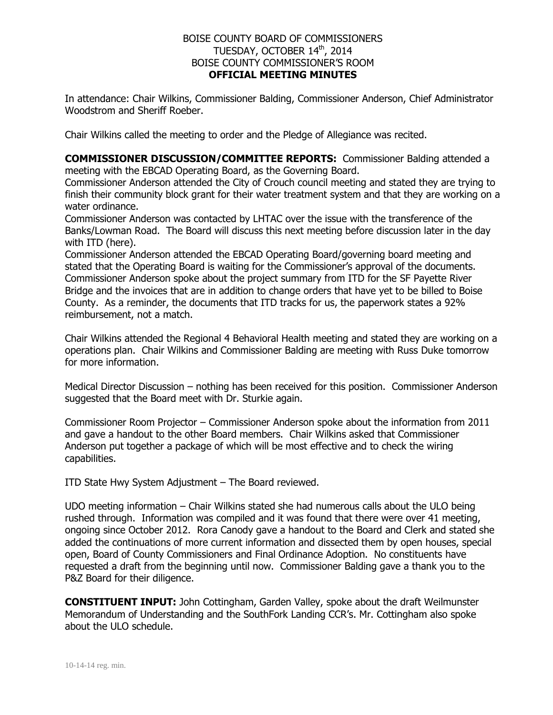### BOISE COUNTY BOARD OF COMMISSIONERS TUESDAY, OCTOBER 14th, 2014 BOISE COUNTY COMMISSIONER'S ROOM **OFFICIAL MEETING MINUTES**

In attendance: Chair Wilkins, Commissioner Balding, Commissioner Anderson, Chief Administrator Woodstrom and Sheriff Roeber.

Chair Wilkins called the meeting to order and the Pledge of Allegiance was recited.

**COMMISSIONER DISCUSSION/COMMITTEE REPORTS:** Commissioner Balding attended a meeting with the EBCAD Operating Board, as the Governing Board.

Commissioner Anderson attended the City of Crouch council meeting and stated they are trying to finish their community block grant for their water treatment system and that they are working on a water ordinance.

Commissioner Anderson was contacted by LHTAC over the issue with the transference of the Banks/Lowman Road. The Board will discuss this next meeting before discussion later in the day with ITD (here).

Commissioner Anderson attended the EBCAD Operating Board/governing board meeting and stated that the Operating Board is waiting for the Commissioner's approval of the documents. Commissioner Anderson spoke about the project summary from ITD for the SF Payette River Bridge and the invoices that are in addition to change orders that have yet to be billed to Boise County. As a reminder, the documents that ITD tracks for us, the paperwork states a 92% reimbursement, not a match.

Chair Wilkins attended the Regional 4 Behavioral Health meeting and stated they are working on a operations plan. Chair Wilkins and Commissioner Balding are meeting with Russ Duke tomorrow for more information.

Medical Director Discussion – nothing has been received for this position. Commissioner Anderson suggested that the Board meet with Dr. Sturkie again.

Commissioner Room Projector – Commissioner Anderson spoke about the information from 2011 and gave a handout to the other Board members. Chair Wilkins asked that Commissioner Anderson put together a package of which will be most effective and to check the wiring capabilities.

ITD State Hwy System Adjustment – The Board reviewed.

UDO meeting information – Chair Wilkins stated she had numerous calls about the ULO being rushed through. Information was compiled and it was found that there were over 41 meeting, ongoing since October 2012. Rora Canody gave a handout to the Board and Clerk and stated she added the continuations of more current information and dissected them by open houses, special open, Board of County Commissioners and Final Ordinance Adoption. No constituents have requested a draft from the beginning until now. Commissioner Balding gave a thank you to the P&Z Board for their diligence.

**CONSTITUENT INPUT:** John Cottingham, Garden Valley, spoke about the draft Weilmunster Memorandum of Understanding and the SouthFork Landing CCR's. Mr. Cottingham also spoke about the ULO schedule.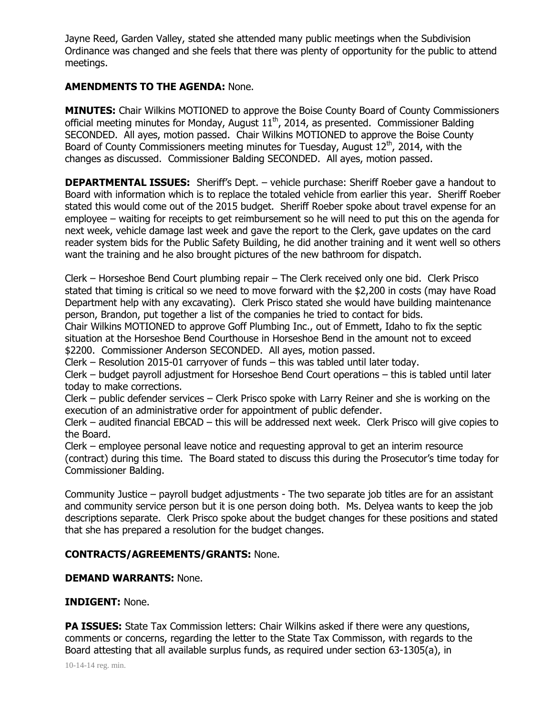Jayne Reed, Garden Valley, stated she attended many public meetings when the Subdivision Ordinance was changed and she feels that there was plenty of opportunity for the public to attend meetings.

## **AMENDMENTS TO THE AGENDA:** None.

**MINUTES:** Chair Wilkins MOTIONED to approve the Boise County Board of County Commissioners official meeting minutes for Monday, August 11<sup>th</sup>, 2014, as presented. Commissioner Balding SECONDED. All ayes, motion passed. Chair Wilkins MOTIONED to approve the Boise County Board of County Commissioners meeting minutes for Tuesday, August  $12<sup>th</sup>$ , 2014, with the changes as discussed. Commissioner Balding SECONDED. All ayes, motion passed.

**DEPARTMENTAL ISSUES:** Sheriff's Dept. – vehicle purchase: Sheriff Roeber gave a handout to Board with information which is to replace the totaled vehicle from earlier this year. Sheriff Roeber stated this would come out of the 2015 budget. Sheriff Roeber spoke about travel expense for an employee – waiting for receipts to get reimbursement so he will need to put this on the agenda for next week, vehicle damage last week and gave the report to the Clerk, gave updates on the card reader system bids for the Public Safety Building, he did another training and it went well so others want the training and he also brought pictures of the new bathroom for dispatch.

Clerk – Horseshoe Bend Court plumbing repair – The Clerk received only one bid. Clerk Prisco stated that timing is critical so we need to move forward with the \$2,200 in costs (may have Road Department help with any excavating). Clerk Prisco stated she would have building maintenance person, Brandon, put together a list of the companies he tried to contact for bids.

Chair Wilkins MOTIONED to approve Goff Plumbing Inc., out of Emmett, Idaho to fix the septic situation at the Horseshoe Bend Courthouse in Horseshoe Bend in the amount not to exceed \$2200. Commissioner Anderson SECONDED. All ayes, motion passed.

Clerk – Resolution 2015-01 carryover of funds – this was tabled until later today.

Clerk – budget payroll adjustment for Horseshoe Bend Court operations – this is tabled until later today to make corrections.

Clerk – public defender services – Clerk Prisco spoke with Larry Reiner and she is working on the execution of an administrative order for appointment of public defender.

Clerk – audited financial EBCAD – this will be addressed next week. Clerk Prisco will give copies to the Board.

Clerk – employee personal leave notice and requesting approval to get an interim resource (contract) during this time. The Board stated to discuss this during the Prosecutor's time today for Commissioner Balding.

Community Justice – payroll budget adjustments - The two separate job titles are for an assistant and community service person but it is one person doing both. Ms. Delyea wants to keep the job descriptions separate. Clerk Prisco spoke about the budget changes for these positions and stated that she has prepared a resolution for the budget changes.

# **CONTRACTS/AGREEMENTS/GRANTS:** None.

### **DEMAND WARRANTS:** None.

#### **INDIGENT:** None.

**PA ISSUES:** State Tax Commission letters: Chair Wilkins asked if there were any questions, comments or concerns, regarding the letter to the State Tax Commisson, with regards to the Board attesting that all available surplus funds, as required under section 63-1305(a), in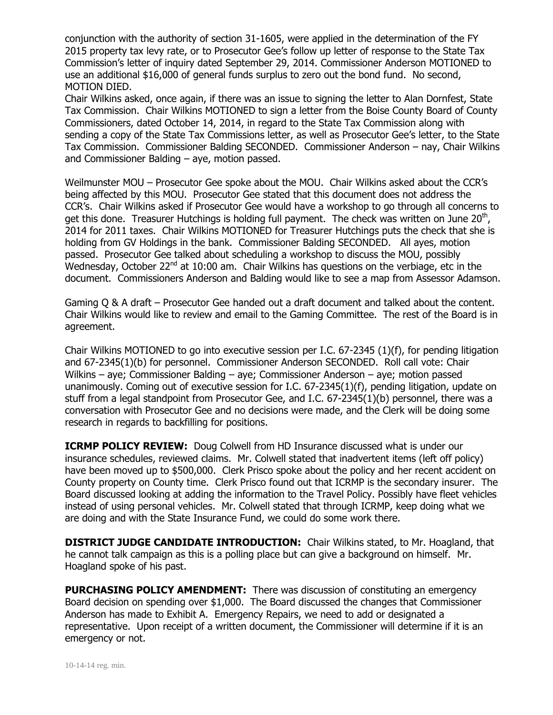conjunction with the authority of section 31-1605, were applied in the determination of the FY 2015 property tax levy rate, or to Prosecutor Gee's follow up letter of response to the State Tax Commission's letter of inquiry dated September 29, 2014. Commissioner Anderson MOTIONED to use an additional \$16,000 of general funds surplus to zero out the bond fund. No second, MOTION DIED.

Chair Wilkins asked, once again, if there was an issue to signing the letter to Alan Dornfest, State Tax Commission. Chair Wilkins MOTIONED to sign a letter from the Boise County Board of County Commissioners, dated October 14, 2014, in regard to the State Tax Commission along with sending a copy of the State Tax Commissions letter, as well as Prosecutor Gee's letter, to the State Tax Commission. Commissioner Balding SECONDED. Commissioner Anderson – nay, Chair Wilkins and Commissioner Balding – aye, motion passed.

Weilmunster MOU – Prosecutor Gee spoke about the MOU. Chair Wilkins asked about the CCR's being affected by this MOU. Prosecutor Gee stated that this document does not address the CCR's. Chair Wilkins asked if Prosecutor Gee would have a workshop to go through all concerns to get this done. Treasurer Hutchings is holding full payment. The check was written on June 20<sup>th</sup>, 2014 for 2011 taxes. Chair Wilkins MOTIONED for Treasurer Hutchings puts the check that she is holding from GV Holdings in the bank. Commissioner Balding SECONDED. All ayes, motion passed. Prosecutor Gee talked about scheduling a workshop to discuss the MOU, possibly Wednesday, October  $22^{nd}$  at 10:00 am. Chair Wilkins has questions on the verbiage, etc in the document. Commissioners Anderson and Balding would like to see a map from Assessor Adamson.

Gaming Q & A draft – Prosecutor Gee handed out a draft document and talked about the content. Chair Wilkins would like to review and email to the Gaming Committee. The rest of the Board is in agreement.

Chair Wilkins MOTIONED to go into executive session per I.C. 67-2345 (1)(f), for pending litigation and 67-2345(1)(b) for personnel. Commissioner Anderson SECONDED. Roll call vote: Chair Wilkins – aye; Commissioner Balding – aye; Commissioner Anderson – aye; motion passed unanimously. Coming out of executive session for I.C. 67-2345(1)(f), pending litigation, update on stuff from a legal standpoint from Prosecutor Gee, and I.C. 67-2345(1)(b) personnel, there was a conversation with Prosecutor Gee and no decisions were made, and the Clerk will be doing some research in regards to backfilling for positions.

**ICRMP POLICY REVIEW:** Doug Colwell from HD Insurance discussed what is under our insurance schedules, reviewed claims. Mr. Colwell stated that inadvertent items (left off policy) have been moved up to \$500,000. Clerk Prisco spoke about the policy and her recent accident on County property on County time. Clerk Prisco found out that ICRMP is the secondary insurer. The Board discussed looking at adding the information to the Travel Policy. Possibly have fleet vehicles instead of using personal vehicles. Mr. Colwell stated that through ICRMP, keep doing what we are doing and with the State Insurance Fund, we could do some work there.

**DISTRICT JUDGE CANDIDATE INTRODUCTION:** Chair Wilkins stated, to Mr. Hoagland, that he cannot talk campaign as this is a polling place but can give a background on himself. Mr. Hoagland spoke of his past.

**PURCHASING POLICY AMENDMENT:** There was discussion of constituting an emergency Board decision on spending over \$1,000. The Board discussed the changes that Commissioner Anderson has made to Exhibit A. Emergency Repairs, we need to add or designated a representative. Upon receipt of a written document, the Commissioner will determine if it is an emergency or not.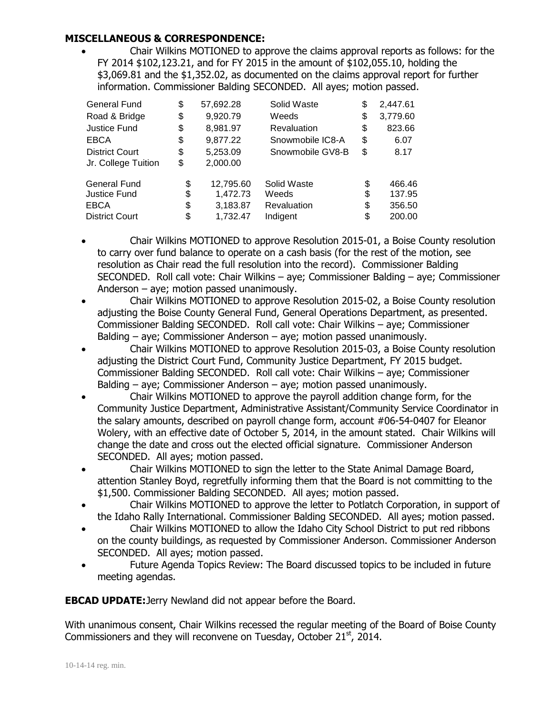# **MISCELLANEOUS & CORRESPONDENCE:**

 Chair Wilkins MOTIONED to approve the claims approval reports as follows: for the FY 2014 \$102,123.21, and for FY 2015 in the amount of \$102,055.10, holding the \$3,069.81 and the \$1,352.02, as documented on the claims approval report for further information. Commissioner Balding SECONDED. All ayes; motion passed.

| <b>General Fund</b>   | \$<br>57,692.28 | Solid Waste        | \$ | 2,447.61 |
|-----------------------|-----------------|--------------------|----|----------|
| Road & Bridge         | \$<br>9,920.79  | Weeds              | \$ | 3,779.60 |
| <b>Justice Fund</b>   | \$<br>8,981.97  | <b>Revaluation</b> | \$ | 823.66   |
| <b>EBCA</b>           | \$<br>9,877.22  | Snowmobile IC8-A   | \$ | 6.07     |
| <b>District Court</b> | \$<br>5,253.09  | Snowmobile GV8-B   | \$ | 8.17     |
| Jr. College Tuition   | \$<br>2,000.00  |                    |    |          |
| <b>General Fund</b>   | \$<br>12,795.60 | Solid Waste        | \$ | 466.46   |
| <b>Justice Fund</b>   | \$<br>1,472.73  | Weeds              | \$ | 137.95   |
| <b>EBCA</b>           | \$<br>3,183.87  | Revaluation        | \$ | 356.50   |
| <b>District Court</b> | \$<br>1,732.47  | Indigent           | S  | 200.00   |

- Chair Wilkins MOTIONED to approve Resolution 2015-01, a Boise County resolution to carry over fund balance to operate on a cash basis (for the rest of the motion, see resolution as Chair read the full resolution into the record). Commissioner Balding SECONDED. Roll call vote: Chair Wilkins – aye; Commissioner Balding – aye; Commissioner Anderson – aye; motion passed unanimously.
- Chair Wilkins MOTIONED to approve Resolution 2015-02, a Boise County resolution adjusting the Boise County General Fund, General Operations Department, as presented. Commissioner Balding SECONDED. Roll call vote: Chair Wilkins – aye; Commissioner Balding – aye; Commissioner Anderson – aye; motion passed unanimously.
- Chair Wilkins MOTIONED to approve Resolution 2015-03, a Boise County resolution adjusting the District Court Fund, Community Justice Department, FY 2015 budget. Commissioner Balding SECONDED. Roll call vote: Chair Wilkins – aye; Commissioner Balding – aye; Commissioner Anderson – aye; motion passed unanimously.
- Chair Wilkins MOTIONED to approve the payroll addition change form, for the Community Justice Department, Administrative Assistant/Community Service Coordinator in the salary amounts, described on payroll change form, account #06-54-0407 for Eleanor Wolery, with an effective date of October 5, 2014, in the amount stated. Chair Wilkins will change the date and cross out the elected official signature. Commissioner Anderson SECONDED. All ayes; motion passed.
- Chair Wilkins MOTIONED to sign the letter to the State Animal Damage Board, attention Stanley Boyd, regretfully informing them that the Board is not committing to the \$1,500. Commissioner Balding SECONDED. All ayes; motion passed.
- Chair Wilkins MOTIONED to approve the letter to Potlatch Corporation, in support of the Idaho Rally International. Commissioner Balding SECONDED. All ayes; motion passed.
- Chair Wilkins MOTIONED to allow the Idaho City School District to put red ribbons on the county buildings, as requested by Commissioner Anderson. Commissioner Anderson SECONDED. All ayes; motion passed.
- Future Agenda Topics Review: The Board discussed topics to be included in future meeting agendas.

**EBCAD UPDATE:**Jerry Newland did not appear before the Board.

With unanimous consent, Chair Wilkins recessed the regular meeting of the Board of Boise County Commissioners and they will reconvene on Tuesday, October 21<sup>st</sup>, 2014.